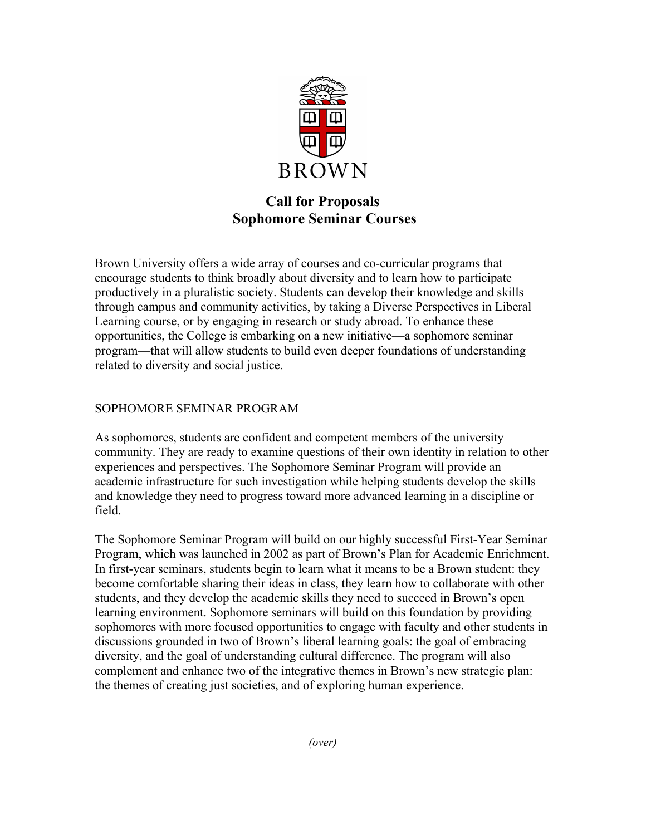

# **Call for Proposals Sophomore Seminar Courses**

Brown University offers a wide array of courses and co-curricular programs that encourage students to think broadly about diversity and to learn how to participate productively in a pluralistic society. Students can develop their knowledge and skills through campus and community activities, by taking a Diverse Perspectives in Liberal Learning course, or by engaging in research or study abroad. To enhance these opportunities, the College is embarking on a new initiative—a sophomore seminar program—that will allow students to build even deeper foundations of understanding related to diversity and social justice.

# SOPHOMORE SEMINAR PROGRAM

As sophomores, students are confident and competent members of the university community. They are ready to examine questions of their own identity in relation to other experiences and perspectives. The Sophomore Seminar Program will provide an academic infrastructure for such investigation while helping students develop the skills and knowledge they need to progress toward more advanced learning in a discipline or field.

The Sophomore Seminar Program will build on our highly successful First-Year Seminar Program, which was launched in 2002 as part of Brown's Plan for Academic Enrichment. In first-year seminars, students begin to learn what it means to be a Brown student: they become comfortable sharing their ideas in class, they learn how to collaborate with other students, and they develop the academic skills they need to succeed in Brown's open learning environment. Sophomore seminars will build on this foundation by providing sophomores with more focused opportunities to engage with faculty and other students in discussions grounded in two of Brown's liberal learning goals: the goal of embracing diversity, and the goal of understanding cultural difference. The program will also complement and enhance two of the integrative themes in Brown's new strategic plan: the themes of creating just societies, and of exploring human experience.